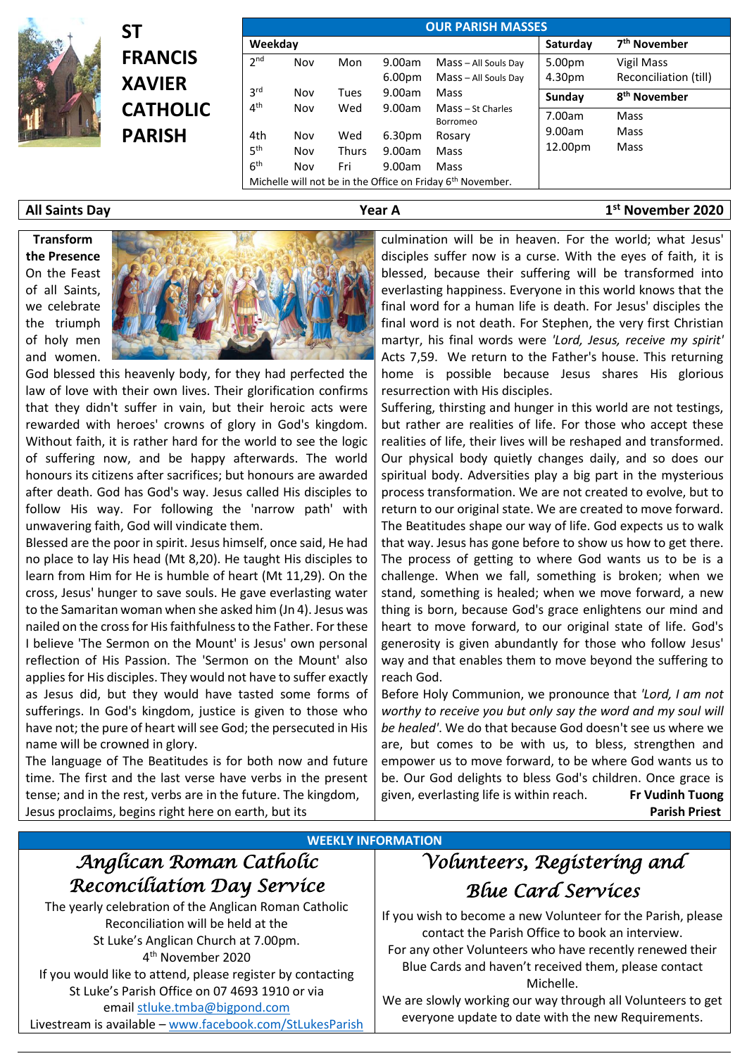

**ST FRANCIS XAVIER CATHOLIC PARISH**

| <b>OUR PARISH MASSES</b> |     |              |                    |                                                                        |         |                          |  |  |  |  |  |
|--------------------------|-----|--------------|--------------------|------------------------------------------------------------------------|---------|--------------------------|--|--|--|--|--|
| Weekday                  |     |              | Saturday           | 7 <sup>th</sup> November                                               |         |                          |  |  |  |  |  |
| 2 <sub>nd</sub>          | Nov | Mon          | 9.00am             | Mass - All Souls Day                                                   | 5.00pm  | Vigil Mass               |  |  |  |  |  |
|                          |     |              | 6.00 <sub>pm</sub> | Mass - All Souls Day                                                   | 4.30pm  | Reconciliation (till)    |  |  |  |  |  |
| 3 <sup>rd</sup>          | Nov | Tues         | 9.00am             | Mass                                                                   | Sunday  | 8 <sup>th</sup> November |  |  |  |  |  |
| 4 <sup>th</sup>          | Nov | Wed          | 9.00am             | Mass - St Charles<br>Borromeo                                          | 7.00am  | Mass                     |  |  |  |  |  |
| 4th                      | Nov | Wed          | 6.30 <sub>pm</sub> | Rosary                                                                 | 9.00am  | Mass                     |  |  |  |  |  |
| 5 <sup>th</sup>          | Nov | <b>Thurs</b> | 9.00am             | Mass                                                                   | 12.00pm | Mass                     |  |  |  |  |  |
| 6 <sup>th</sup>          | Nov | Fri          | 9.00am             | Mass                                                                   |         |                          |  |  |  |  |  |
|                          |     |              |                    | Michelle will not be in the Office on Friday 6 <sup>th</sup> November. |         |                          |  |  |  |  |  |

### **All Saints Day Year A 1**

**Transform the Presence** On the Feast of all Saints, we celebrate the triumph of holy men and women.



God blessed this heavenly body, for they had perfected the law of love with their own lives. Their glorification confirms that they didn't suffer in vain, but their heroic acts were rewarded with heroes' crowns of glory in God's kingdom. Without faith, it is rather hard for the world to see the logic of suffering now, and be happy afterwards. The world honours its citizens after sacrifices; but honours are awarded after death. God has God's way. Jesus called His disciples to follow His way. For following the 'narrow path' with unwavering faith, God will vindicate them.

Blessed are the poor in spirit. Jesus himself, once said, He had no place to lay His head (Mt 8,20). He taught His disciples to learn from Him for He is humble of heart (Mt 11,29). On the cross, Jesus' hunger to save souls. He gave everlasting water to the Samaritan woman when she asked him (Jn 4). Jesus was nailed on the cross for His faithfulness to the Father. For these I believe 'The Sermon on the Mount' is Jesus' own personal reflection of His Passion. The 'Sermon on the Mount' also applies for His disciples. They would not have to suffer exactly as Jesus did, but they would have tasted some forms of sufferings. In God's kingdom, justice is given to those who have not; the pure of heart will see God; the persecuted in His name will be crowned in glory.

The language of The Beatitudes is for both now and future time. The first and the last verse have verbs in the present tense; and in the rest, verbs are in the future. The kingdom, Jesus proclaims, begins right here on earth, but its

culmination will be in heaven. For the world; what Jesus' disciples suffer now is a curse. With the eyes of faith, it is blessed, because their suffering will be transformed into everlasting happiness. Everyone in this world knows that the final word for a human life is death. For Jesus' disciples the final word is not death. For Stephen, the very first Christian martyr, his final words were *'Lord, Jesus, receive my spirit'* Acts 7,59. We return to the Father's house. This returning home is possible because Jesus shares His glorious resurrection with His disciples.

**st November 2020**

Suffering, thirsting and hunger in this world are not testings, but rather are realities of life. For those who accept these realities of life, their lives will be reshaped and transformed. Our physical body quietly changes daily, and so does our spiritual body. Adversities play a big part in the mysterious process transformation. We are not created to evolve, but to return to our original state. We are created to move forward. The Beatitudes shape our way of life. God expects us to walk that way. Jesus has gone before to show us how to get there. The process of getting to where God wants us to be is a challenge. When we fall, something is broken; when we stand, something is healed; when we move forward, a new thing is born, because God's grace enlightens our mind and heart to move forward, to our original state of life. God's generosity is given abundantly for those who follow Jesus' way and that enables them to move beyond the suffering to reach God.

Before Holy Communion, we pronounce that *'Lord, I am not worthy to receive you but only say the word and my soul will be healed'*. We do that because God doesn't see us where we are, but comes to be with us, to bless, strengthen and empower us to move forward, to be where God wants us to be. Our God delights to bless God's children. Once grace is given, everlasting life is within reach. **Fr Vudinh Tuong Parish Priest**

### **WEEKLY INFORMATION**

### *Anglican Roman Catholic Reconciliation Day Service*

The yearly celebration of the Anglican Roman Catholic Reconciliation will be held at the St Luke's Anglican Church at 7.00pm. 4 th November 2020 If you would like to attend, please register by contacting St Luke's Parish Office on 07 4693 1910 or via emai[l stluke.tmba@bigpond.com](mailto:stluke.tmba@bigpond.com) Livestream is available – [www.facebook.com/StLukesParish](http://www.facebook.com/StLukesParish)

## *Volunteers, Registering and Blue Card Services*

If you wish to become a new Volunteer for the Parish, please contact the Parish Office to book an interview. For any other Volunteers who have recently renewed their Blue Cards and haven't received them, please contact Michelle.

We are slowly working our way through all Volunteers to get everyone update to date with the new Requirements.